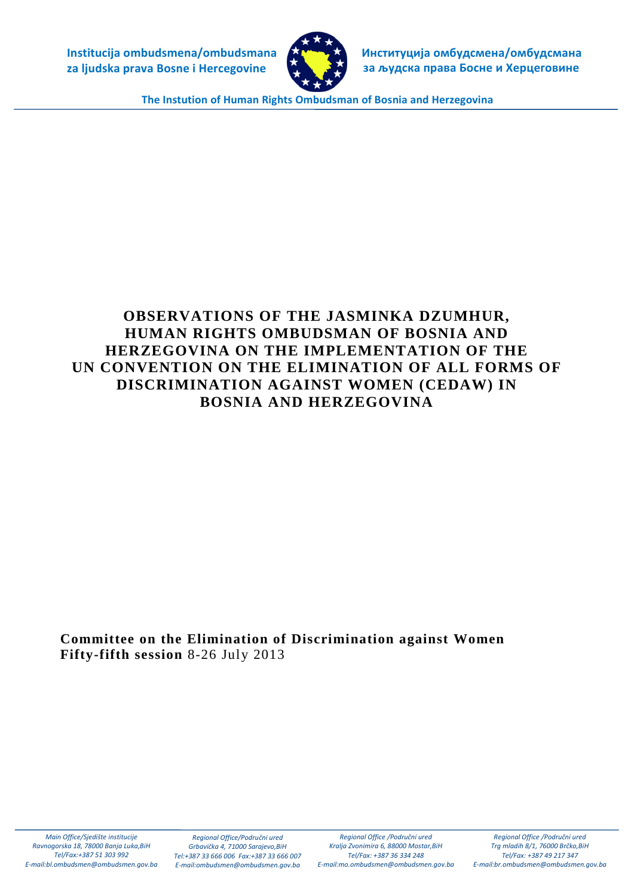**Institucija ombudsmena/ombudsmana za ljudska prava Bosne i Hercegovine**



 **Институција омбудсмена/омбудсмана за људска права Босне и Херцеговинe**

**The Instution of Human Rights Ombudsman of Bosnia and Herzegovina**

# **OBSERVATIONS OF THE JASMINKA DZUMHUR, HUMAN RIGHTS OMBUDSMAN OF BOSNIA AND HERZEGOVINA ON THE IMPLEMENTATION OF THE UN CONVENTION ON THE ELIMINATION OF ALL FORMS OF DISCRIMINATION AGAINST WOMEN (CEDAW) IN BOSNIA AND HERZEGOVINA**

**Committee on the Elimination of Discrimination against Women Fifty-fifth session** 8-26 July 2013

*Main Office/Sjedište institucije Ravnogorska 18, 78000 Banja Luka,BiH Tel/Fax:+387 51 303 992 E-mai[l:bl.ombudsmen@ombudsmen.gov.ba](mailto:bl.ombudsmen@ombudsmen.gov.ba)*

*Regional Office/Područni ured Grbavička 4, 71000 Sarajevo,BiH Tel:+387 33 666 006 Fax:+387 33 666 007 E-mai[l:ombudsmen@ombudsmen.gov.ba](mailto:ombudsmen@ombudsmen.gov.ba)*

*Regional Office /Područni ured Kralja Zvonimira 6, 88000 Mostar,BiH Tel/Fax: +387 36 334 248 E-mail:mo.ombudsmen@ombudsmen.gov.ba*

*Regional Office /Područni ured Trg mladih 8/1, 76000 Brčko,BiH Tel/Fax: +387 49 217 347 E-mail:br.ombudsmen@ombudsmen.gov.ba*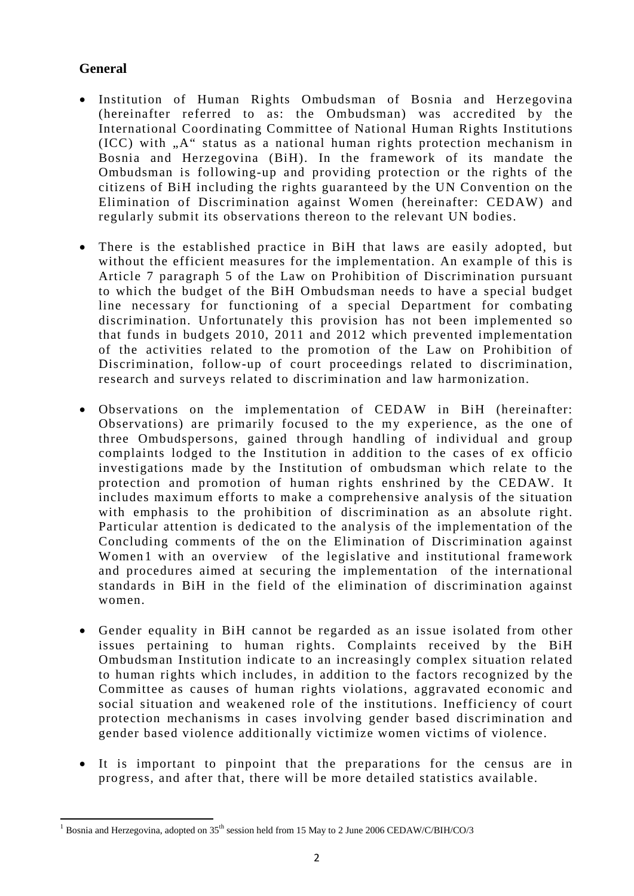# **General**

- Institution of Human Rights Ombudsman of Bosnia and Herzegovina (hereinafter referred to as: the Ombudsman) was accredited by the International Coordinating Committee of National Human Rights Institutions  $(ICC)$  with  $, A$ " status as a national human rights protection mechanism in Bosnia and Herzegovina (BiH). In the framework of its mandate the Ombudsman is following-up and providing protection or the rights of the citizens of BiH including the rights guaranteed by the UN Convention on the Elimination of Discrimination against Women (hereinafter: CEDAW) and regularly submit its observations thereon to the relevant UN bodies.
- There is the established practice in BiH that laws are easily adopted, but without the efficient measures for the implementation. An example of this is Article 7 paragraph 5 of the Law on Prohibition of Discrimination pursuant to which the budget of the BiH Ombudsman needs to have a special budget line necessary for functioning of a special Department for combating discrimination. Unfortunately this provision has not been implemented so that funds in budgets 2010, 2011 and 2012 which prevented implementation of the activities related to the promotion of the Law on Prohibition of Discrimination, follow-up of court proceedings related to discrimination, research and surveys related to discrimination and law harmonization.
- Observations on the implementation of CEDAW in BiH (hereinafter: Observations) are primarily focused to the my experience, as the one of three Ombudspersons, gained through handling of individual and group complaints lodged to the Institution in addition to the cases of ex officio investigations made by the Institution of ombudsman which relate to the protection and promotion of human rights enshrined by the CEDAW. It includes maximum efforts to make a comprehensive analysis of the situation with emphasis to the prohibition of discrimination as an absolute right. Particular attention is dedicated to the analysis of the implementation of the Concluding comments of the on the Elimination of Discrimination against Women[1](#page-1-0) with an overview of the legislative and institutional framework and procedures aimed at securing the implementation of the international standards in BiH in the field of the elimination of discrimination against women.
- Gender equality in BiH cannot be regarded as an issue isolated from other issues pertaining to human rights. Complaints received by the BiH Ombudsman Institution indicate to an increasingly complex situation related to human rights which includes, in addition to the factors recognized by the Committee as causes of human rights violations, aggravated economic and social situation and weakened role of the institutions. Inefficiency of court protection mechanisms in cases involving gender based discrimination and gender based violence additionally victimize women victims of violence.
- It is important to pinpoint that the preparations for the census are in progress, and after that, there will be more detailed statistics available.

<span id="page-1-0"></span><sup>&</sup>lt;sup>1</sup> Bosnia and Herzegovina, adopted on  $35<sup>th</sup>$  session held from 15 May to 2 June 2006 CEDAW/C/BIH/CO/3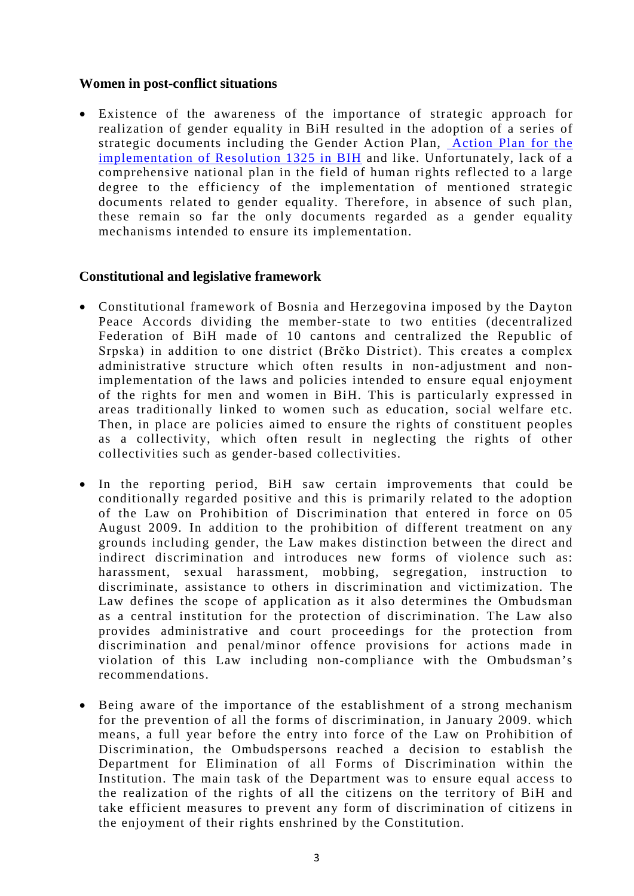#### **Women in post-conflict situations**

• Existence of the awareness of the importance of strategic approach for realization of gender equality in BiH resulted in the adoption of a series of strategic documents including the Gender Action Plan, [Action Plan for the](http://www.1325.arsbih.gov.ba/)  [implementation of Resolution 1325 in BIH](http://www.1325.arsbih.gov.ba/) and like. Unfortunately, lack of a comprehensive national plan in the field of human rights reflected to a large degree to the efficiency of the implementation of mentioned strategic documents related to gender equality. Therefore, in absence of such plan, these remain so far the only documents regarded as a gender equality mechanisms intended to ensure its implementation.

#### **Constitutional and legislative framework**

- Constitutional framework of Bosnia and Herzegovina imposed by the Dayton Peace Accords dividing the member-state to two entities (decentralized Federation of BiH made of 10 cantons and centralized the Republic of Srpska) in addition to one district (Brčko District). This creates a complex administrative structure which often results in non-adjustment and nonimplementation of the laws and policies intended to ensure equal enjoyment of the rights for men and women in BiH. This is particularly expressed in areas traditionally linked to women such as education, social welfare etc. Then, in place are policies aimed to ensure the rights of constituent peoples as a collectivity, which often result in neglecting the rights of other collectivities such as gender-based collectivities.
- In the reporting period, BiH saw certain improvements that could be conditionally regarded positive and this is primarily related to the adoption of the Law on Prohibition of Discrimination that entered in force on 05 August 2009. In addition to the prohibition of different treatment on any grounds including gender, the Law makes distinction between the direct and indirect discrimination and introduces new forms of violence such as: harassment, sexual harassment, mobbing, segregation, instruction to discriminate, assistance to others in discrimination and victimization. The Law defines the scope of application as it also determines the Ombudsman as a central institution for the protection of discrimination. The Law also provides administrative and court proceedings for the protection from discrimination and penal/minor offence provisions for actions made in violation of this Law including non-compliance with the Ombudsman's recommendations.
- Being aware of the importance of the establishment of a strong mechanism for the prevention of all the forms of discrimination, in January 2009. which means, a full year before the entry into force of the Law on Prohibition of Discrimination, the Ombudspersons reached a decision to establish the Department for Elimination of all Forms of Discrimination within the Institution. The main task of the Department was to ensure equal access to the realization of the rights of all the citizens on the territory of BiH and take efficient measures to prevent any form of discrimination of citizens in the enjoyment of their rights enshrined by the Constitution.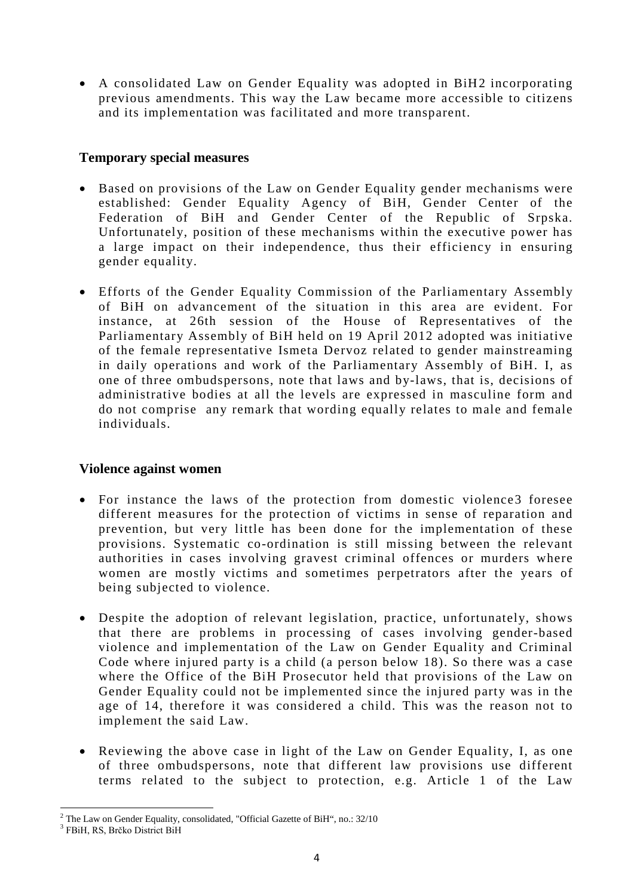• A consolidated Law on Gender Equality was adopted in BiH[2](#page-3-0) incorporating previous amendments. This way the Law became more accessible to citizens and its implementation was facilitated and more transparent.

### **Temporary special measures**

- Based on provisions of the Law on Gender Equality gender mechanisms were established: Gender Equality Agency of BiH, Gender Center of the Federation of BiH and Gender Center of the Republic of Srpska. Unfortunately, position of these mechanisms within the executive power has a large impact on their independence, thus their efficiency in ensuring gender equality.
- Efforts of the Gender Equality Commission of the Parliamentary Assembly of BiH on advancement of the situation in this area are evident. For instance, at 26th session of the House of Representatives of the Parliamentary Assembly of BiH held on 19 April 2012 adopted was initiative of the female representative Ismeta Dervoz related to gender mainstreaming in daily operations and work of the Parliamentary Assembly of BiH. I, as one of three ombudspersons, note that laws and by-laws, that is, decisions of administrative bodies at all the levels are expressed in masculine form and do not comprise any remark that wording equally relates to male and female individuals.

#### **Violence against women**

- For instance the laws of the protection from domestic violence[3](#page-3-1) foresee different measures for the protection of victims in sense of reparation and prevention, but very little has been done for the implementation of these provisions. Systematic co-ordination is still missing between the relevant authorities in cases involving gravest criminal offences or murders where women are mostly victims and sometimes perpetrators after the years of being subjected to violence.
- Despite the adoption of relevant legislation, practice, unfortunately, shows that there are problems in processing of cases involving gender-based violence and implementation of the Law on Gender Equality and Criminal Code where injured party is a child (a person below 18). So there was a case where the Office of the BiH Prosecutor held that provisions of the Law on Gender Equality could not be implemented since the injured party was in the age of 14, therefore it was considered a child. This was the reason not to implement the said Law.
- Reviewing the above case in light of the Law on Gender Equality, I, as one of three ombudspersons, note that different law provisions use different terms related to the subject to protection, e.g. Article 1 of the Law

<span id="page-3-0"></span><sup>2</sup> The Law on Gender Equality, consolidated, "Official Gazette of BiH", no.: 32/10

<span id="page-3-1"></span><sup>3</sup> FBiH, RS, Brčko District BiH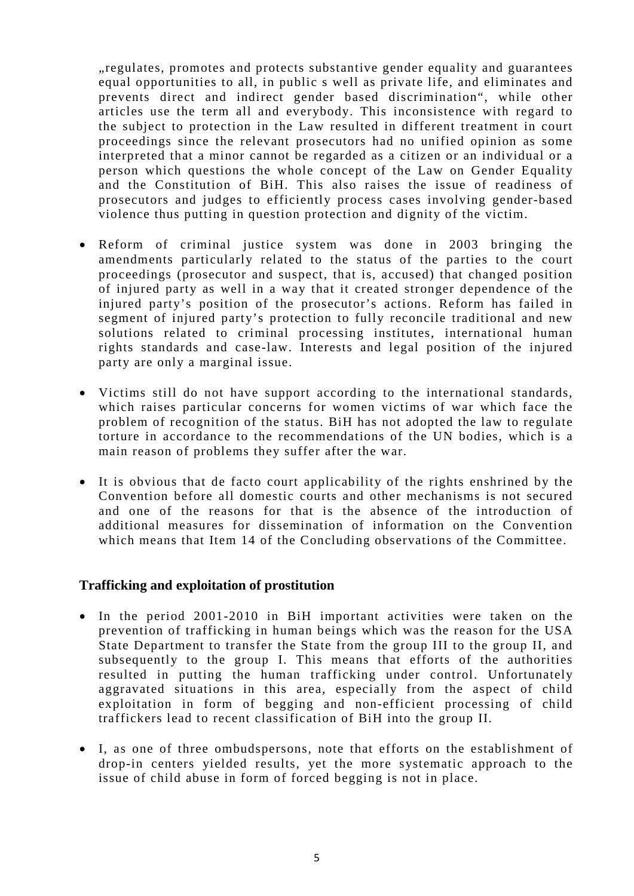"regulates, promotes and protects substantive gender equality and guarantees equal opportunities to all, in public s well as private life, and eliminates and prevents direct and indirect gender based discrimination", while other articles use the term all and everybody. This inconsistence with regard to the subject to protection in the Law resulted in different treatment in court proceedings since the relevant prosecutors had no unified opinion as some interpreted that a minor cannot be regarded as a citizen or an individual or a person which questions the whole concept of the Law on Gender Equality and the Constitution of BiH. This also raises the issue of readiness of prosecutors and judges to efficiently process cases involving gender-based violence thus putting in question protection and dignity of the victim.

- Reform of criminal justice system was done in 2003 bringing the amendments particularly related to the status of the parties to the court proceedings (prosecutor and suspect, that is, accused) that changed position of injured party as well in a way that it created stronger dependence of the injured party's position of the prosecutor's actions. Reform has failed in segment of injured party's protection to fully reconcile traditional and new solutions related to criminal processing institutes, international human rights standards and case-law. Interests and legal position of the injured party are only a marginal issue.
- Victims still do not have support according to the international standards, which raises particular concerns for women victims of war which face the problem of recognition of the status. BiH has not adopted the law to regulate torture in accordance to the recommendations of the UN bodies, which is a main reason of problems they suffer after the war.
- It is obvious that de facto court applicability of the rights enshrined by the Convention before all domestic courts and other mechanisms is not secured and one of the reasons for that is the absence of the introduction of additional measures for dissemination of information on the Convention which means that Item 14 of the Concluding observations of the Committee.

#### **Trafficking and exploitation of prostitution**

- In the period 2001-2010 in BiH important activities were taken on the prevention of trafficking in human beings which was the reason for the USA State Department to transfer the State from the group III to the group II, and subsequently to the group I. This means that efforts of the authorities resulted in putting the human trafficking under control. Unfortunately aggravated situations in this area, especially from the aspect of child exploitation in form of begging and non-efficient processing of child traffickers lead to recent classification of BiH into the group II.
- I, as one of three ombudspersons, note that efforts on the establishment of drop-in centers yielded results, yet the more systematic approach to the issue of child abuse in form of forced begging is not in place.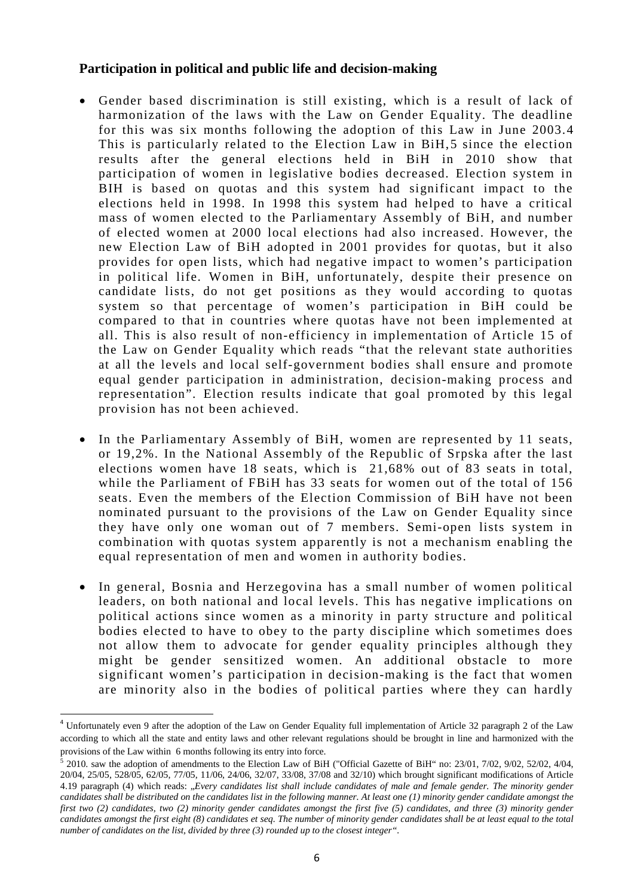#### **Participation in political and public life and decision-making**

- Gender based discrimination is still existing, which is a result of lack of harmonization of the laws with the Law on Gender Equality. The deadline for this was six months following the adoption of this Law in June 2003.[4](#page-5-0) This is particularly related to the Election Law in BiH, [5](#page-5-1) since the election results after the general elections held in BiH in 2010 show that participation of women in legislative bodies decreased. Election system in BIH is based on quotas and this system had significant impact to the elections held in 1998. In 1998 this system had helped to have a critical mass of women elected to the Parliamentary Assembly of BiH, and number of elected women at 2000 local elections had also increased. However, the new Election Law of BiH adopted in 2001 provides for quotas, but it also provides for open lists, which had negative impact to women's participation in political life. Women in BiH, unfortunately, despite their presence on candidate lists, do not get positions as they would according to quotas system so that percentage of women's participation in BiH could be compared to that in countries where quotas have not been implemented at all. This is also result of non-efficiency in implementation of Article 15 of the Law on Gender Equality which reads "that the relevant state authorities at all the levels and local self-government bodies shall ensure and promote equal gender participation in administration, decision-making process and representation". Election results indicate that goal promoted by this legal provision has not been achieved.
- In the Parliamentary Assembly of BiH, women are represented by 11 seats, or 19,2%. In the National Assembly of the Republic of Srpska after the last elections women have 18 seats, which is 21,68% out of 83 seats in total, while the Parliament of FBiH has 33 seats for women out of the total of 156 seats. Even the members of the Election Commission of BiH have not been nominated pursuant to the provisions of the Law on Gender Equality since they have only one woman out of 7 members. Semi-open lists system in combination with quotas system apparently is not a mechanism enabling the equal representation of men and women in authority bodies.
- In general, Bosnia and Herzegovina has a small number of women political leaders, on both national and local levels. This has negative implications on political actions since women as a minority in party structure and political bodies elected to have to obey to the party discipline which sometimes does not allow them to advocate for gender equality principles although they might be gender sensitized women. An additional obstacle to more significant women's participation in decision-making is the fact that women are minority also in the bodies of political parties where they can hardly

<span id="page-5-0"></span><sup>4</sup> Unfortunately even 9 after the adoption of the Law on Gender Equality full implementation of Article 32 paragraph 2 of the Law according to which all the state and entity laws and other relevant regulations should be brought in line and harmonized with the provisions of the Law within 6 months following its entry into force.

<span id="page-5-1"></span><sup>5</sup> 2010. saw the adoption of amendments to the Election Law of BiH ("Official Gazette of BiH" no: 23/01, 7/02, 9/02, 52/02, 4/04, 20/04, 25/05, 528/05, 62/05, 77/05, 11/06, 24/06, 32/07, 33/08, 37/08 and 32/10) which brought significant modifications of Article 4.19 paragraph (4) which reads: "*Every candidates list shall include candidates of male and female gender. The minority gender candidates shall be distributed on the candidates list in the following manner. At least one (1) minority gender candidate amongst the first two (2) candidates, two (2) minority gender candidates amongst the first five (5) candidates, and three (3) minority gender candidates amongst the first eight (8) candidates et seq. The number of minority gender candidates shall be at least equal to the total number of candidates on the list, divided by three (3) rounded up to the closest integer".*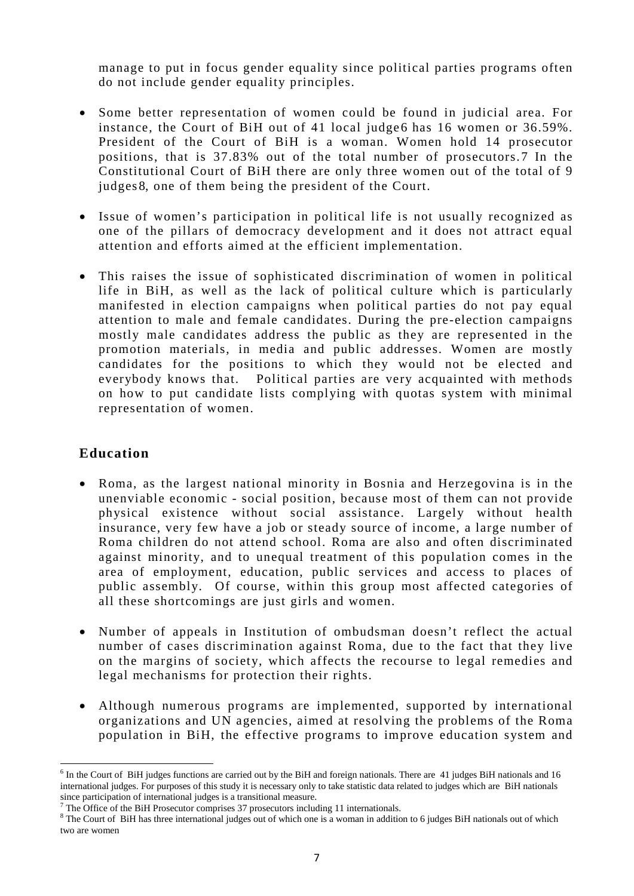manage to put in focus gender equality since political parties programs often do not include gender equality principles.

- Some better representation of women could be found in judicial area. For instance, the Court of BiH out of 41 local judge [6](#page-6-0) has 16 women or 36.59%. President of the Court of BiH is a woman. Women hold 14 prosecutor positions, that is 37.83% out of the total number of prosecutors. [7](#page-6-1) In the Constitutional Court of BiH there are only three women out of the total of 9 judges [8](#page-6-2), one of them being the president of the Court.
- Issue of women's participation in political life is not usually recognized as one of the pillars of democracy development and it does not attract equal attention and efforts aimed at the efficient implementation.
- This raises the issue of sophisticated discrimination of women in political life in BiH, as well as the lack of political culture which is particularly manifested in election campaigns when political parties do not pay equal attention to male and female candidates. During the pre-election campaigns mostly male candidates address the public as they are represented in the promotion materials, in media and public addresses. Women are mostly candidates for the positions to which they would not be elected and everybody knows that. Political parties are very acquainted with methods on how to put candidate lists complying with quotas system with minimal representation of women.

# **Education**

- Roma, as the largest national minority in Bosnia and Herzegovina is in the unenviable economic - social position, because most of them can not provide physical existence without social assistance. Largely without health insurance, very few have a job or steady source of income, a large number of Roma children do not attend school. Roma are also and often discriminated against minority, and to unequal treatment of this population comes in the area of employment, education, public services and access to places of public assembly. Of course, within this group most affected categories of all these shortcomings are just girls and women.
- Number of appeals in Institution of ombudsman doesn't reflect the actual number of cases discrimination against Roma, due to the fact that they live on the margins of society, which affects the recourse to legal remedies and legal mechanisms for protection their rights.
- Although numerous programs are implemented, supported by international organizations and UN agencies, aimed at resolving the problems of the Roma population in BiH, the effective programs to improve education system and

<span id="page-6-0"></span> $6$  In the Court of BiH judges functions are carried out by the BiH and foreign nationals. There are 41 judges BiH nationals and 16 international judges. For purposes of this study it is necessary only to take statistic data related to judges which are BiH nationals since participation of international judges is a transitional measure.

The Office of the BiH Prosecutor comprises 37 prosecutors including 11 internationals.

<span id="page-6-2"></span><span id="page-6-1"></span><sup>&</sup>lt;sup>8</sup> The Court of BiH has three international judges out of which one is a woman in addition to 6 judges BiH nationals out of which two are women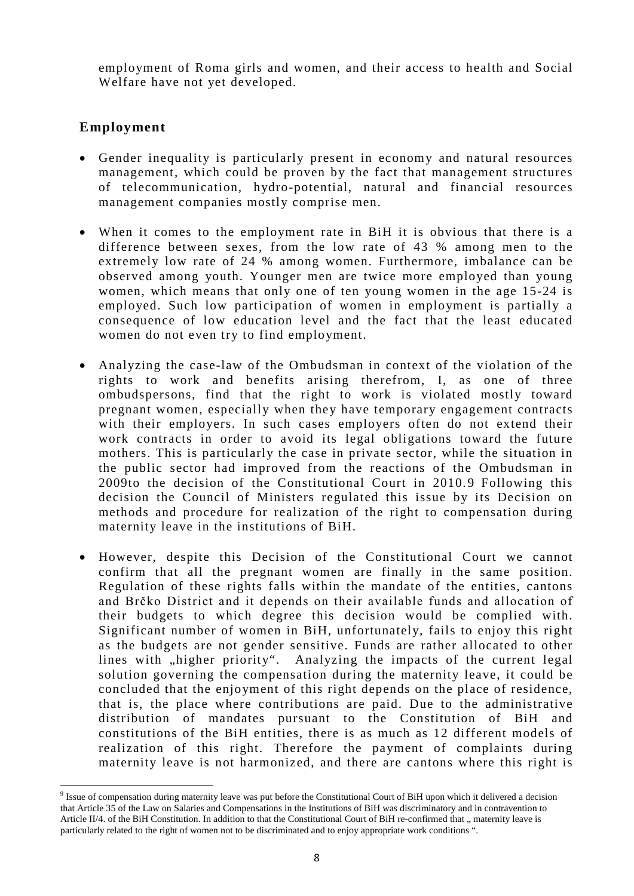employment of Roma girls and women, and their access to health and Social Welfare have not yet developed.

### **Employment**

- Gender inequality is particularly present in economy and natural resources management, which could be proven by the fact that management structures of telecommunication, hydro-potential, natural and financial resources management companies mostly comprise men.
- When it comes to the employment rate in BiH it is obvious that there is a difference between sexes, from the low rate of 43 % among men to the extremely low rate of 24 % among women. Furthermore, imbalance can be observed among youth. Younger men are twice more employed than young women, which means that only one of ten young women in the age 15-24 is employed. Such low participation of women in employment is partially a consequence of low education level and the fact that the least educated women do not even try to find employment.
- Analyzing the case-law of the Ombudsman in context of the violation of the rights to work and benefits arising therefrom, I, as one of three ombudspersons, find that the right to work is violated mostly toward pregnant women, especially when they have temporary engagement contracts with their employers. In such cases employers often do not extend their work contracts in order to avoid its legal obligations toward the future mothers. This is particularly the case in private sector, while the situation in the public sector had improved from the reactions of the Ombudsman in 2009to the decision of the Constitutional Court in 2010. [9](#page-7-0) Following this decision the Council of Ministers regulated this issue by its Decision on methods and procedure for realization of the right to compensation during maternity leave in the institutions of BiH.
- However, despite this Decision of the Constitutional Court we cannot confirm that all the pregnant women are finally in the same position. Regulation of these rights falls within the mandate of the entities, cantons and Brčko District and it depends on their available funds and allocation of their budgets to which degree this decision would be complied with. Significant number of women in BiH, unfortunately, fails to enjoy this right as the budgets are not gender sensitive. Funds are rather allocated to other lines with "higher priority". Analyzing the impacts of the current legal solution governing the compensation during the maternity leave, it could be concluded that the enjoyment of this right depends on the place of residence, that is, the place where contributions are paid. Due to the administrative distribution of mandates pursuant to the Constitution of BiH and constitutions of the BiH entities, there is as much as 12 different models of realization of this right. Therefore the payment of complaints during maternity leave is not harmonized, and there are cantons where this right is

<span id="page-7-0"></span><sup>&</sup>lt;sup>9</sup> Issue of compensation during maternity leave was put before the Constitutional Court of BiH upon which it delivered a decision that Article 35 of the Law on Salaries and Compensations in the Institutions of BiH was discriminatory and in contravention to Article II/4. of the BiH Constitution. In addition to that the Constitutional Court of BiH re-confirmed that " maternity leave is particularly related to the right of women not to be discriminated and to enjoy appropriate work conditions ".